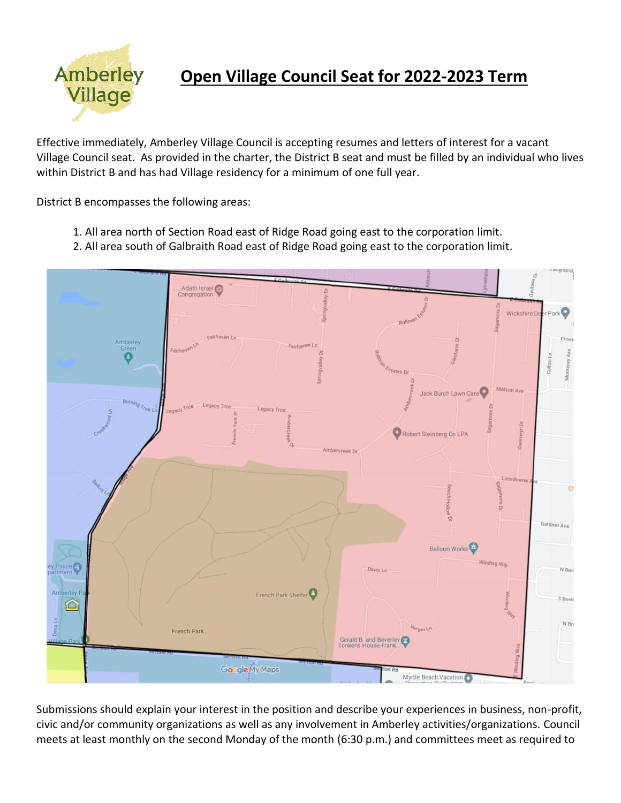

## **Open Village Council Seat for 2022-2023 Term**

Effective immediately, Amberley Village Council is accepting resumes and letters of interest for a vacant Village Council seat. As provided in the charter, the District B seat and must be filled by an individual who lives within District B and has had Village residency for a minimum of one full year.

District B encompasses the following areas:

- 1. All area north of Section Road east of Ridge Road going east to the corporation limit.
- 2. All area south of Galbraith Road east of Ridge Road going east to the corporation limit.



Submissions should explain your interest in the position and describe your experiences in business, non-profit, civic and/or community organizations as well as any involvement in Amberley activities/organizations. Council meets at least monthly on the second Monday of the month (6:30 p.m.) and committees meet as required to